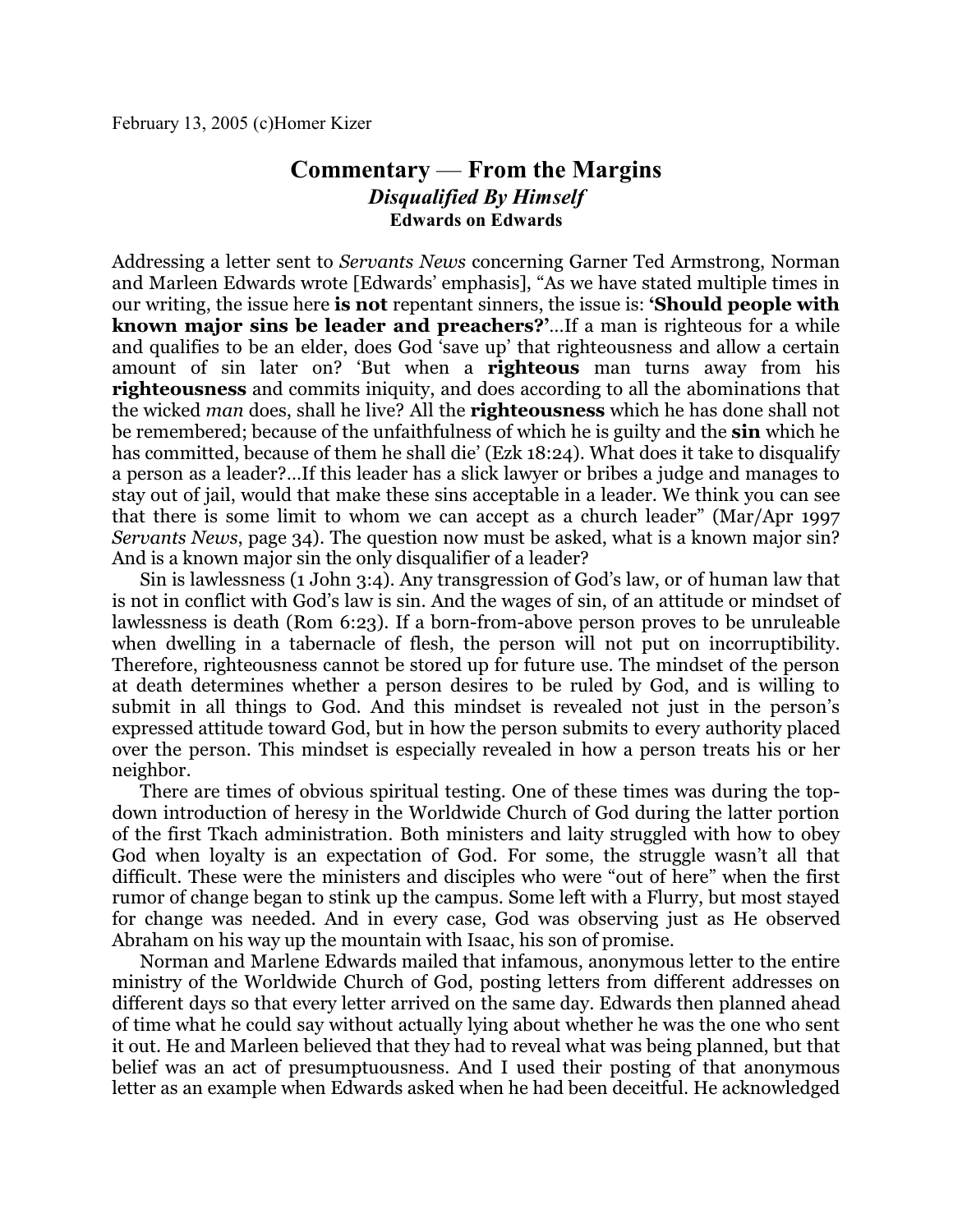## **Commentary** — **From the Margins** *Disqualified By Himself* **Edwards on Edwards**

Addressing a letter sent to *Servants News* concerning Garner Ted Armstrong, Norman and Marleen Edwards wrote [Edwards' emphasis], "As we have stated multiple times in our writing, the issue here **is not** repentant sinners, the issue is: **'Should people with known major sins be leader and preachers?'**…If a man is righteous for a while and qualifies to be an elder, does God 'save up' that righteousness and allow a certain amount of sin later on? 'But when a **righteous** man turns away from his **righteousness** and commits iniquity, and does according to all the abominations that the wicked *man* does, shall he live? All the **righteousness** which he has done shall not be remembered; because of the unfaithfulness of which he is guilty and the **sin** which he has committed, because of them he shall die' (Ezk 18:24). What does it take to disqualify a person as a leader?…If this leader has a slick lawyer or bribes a judge and manages to stay out of jail, would that make these sins acceptable in a leader. We think you can see that there is some limit to whom we can accept as a church leader" (Mar/Apr 1997 *Servants News*, page 34). The question now must be asked, what is a known major sin? And is a known major sin the only disqualifier of a leader?

Sin is lawlessness (1 John 3:4). Any transgression of God's law, or of human law that is not in conflict with God's law is sin. And the wages of sin, of an attitude or mindset of lawlessness is death (Rom 6:23). If a born-from-above person proves to be unruleable when dwelling in a tabernacle of flesh, the person will not put on incorruptibility. Therefore, righteousness cannot be stored up for future use. The mindset of the person at death determines whether a person desires to be ruled by God, and is willing to submit in all things to God. And this mindset is revealed not just in the person's expressed attitude toward God, but in how the person submits to every authority placed over the person. This mindset is especially revealed in how a person treats his or her neighbor.

There are times of obvious spiritual testing. One of these times was during the topdown introduction of heresy in the Worldwide Church of God during the latter portion of the first Tkach administration. Both ministers and laity struggled with how to obey God when loyalty is an expectation of God. For some, the struggle wasn't all that difficult. These were the ministers and disciples who were "out of here" when the first rumor of change began to stink up the campus. Some left with a Flurry, but most stayed for change was needed. And in every case, God was observing just as He observed Abraham on his way up the mountain with Isaac, his son of promise.

Norman and Marlene Edwards mailed that infamous, anonymous letter to the entire ministry of the Worldwide Church of God, posting letters from different addresses on different days so that every letter arrived on the same day. Edwards then planned ahead of time what he could say without actually lying about whether he was the one who sent it out. He and Marleen believed that they had to reveal what was being planned, but that belief was an act of presumptuousness. And I used their posting of that anonymous letter as an example when Edwards asked when he had been deceitful. He acknowledged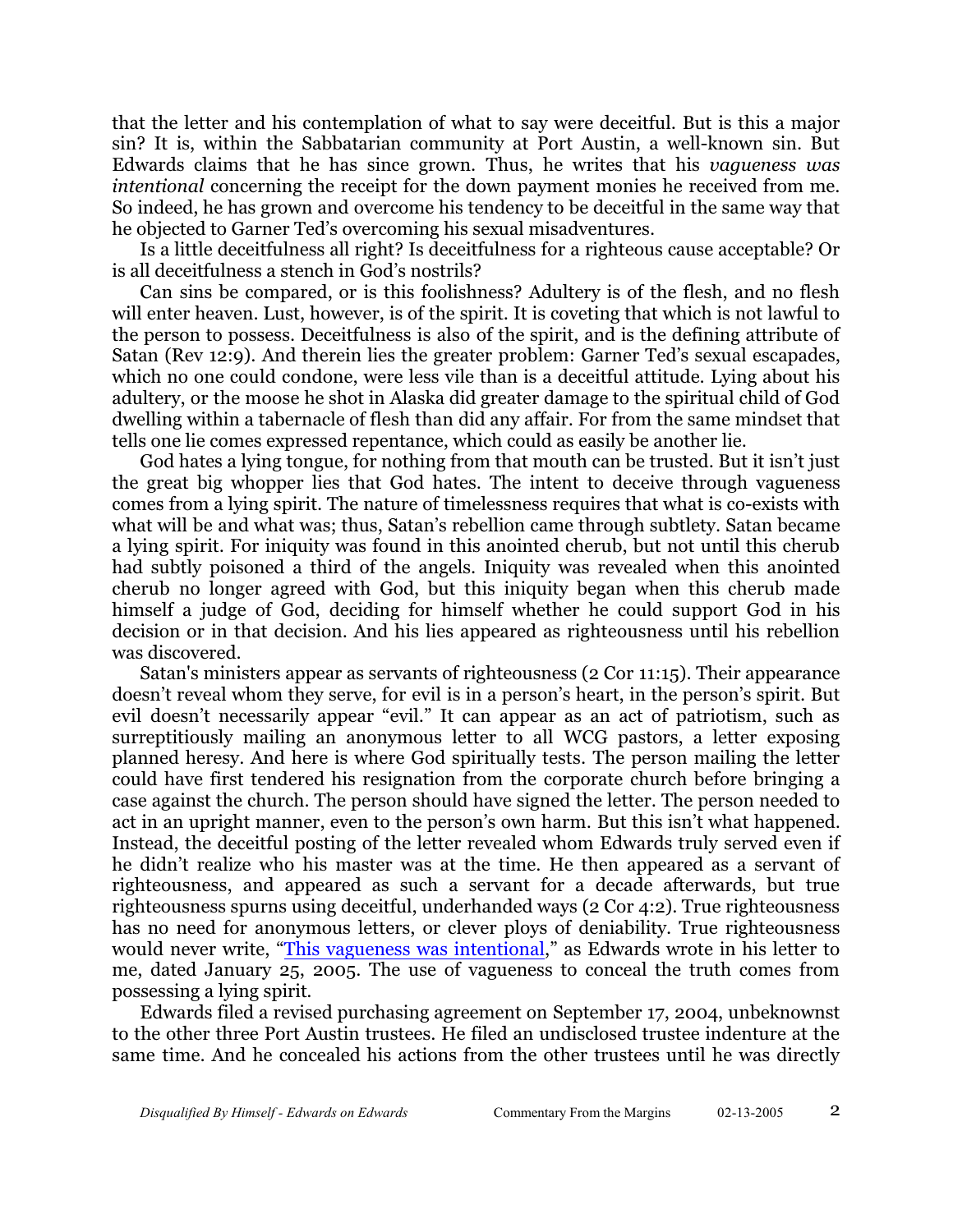that the letter and his contemplation of what to say were deceitful. But is this a major sin? It is, within the Sabbatarian community at Port Austin, a well-known sin. But Edwards claims that he has since grown. Thus, he writes that his *vagueness was intentional* concerning the receipt for the down payment monies he received from me. So indeed, he has grown and overcome his tendency to be deceitful in the same way that he objected to Garner Ted's overcoming his sexual misadventures.

Is a little deceitfulness all right? Is deceitfulness for a righteous cause acceptable? Or is all deceitfulness a stench in God's nostrils?

Can sins be compared, or is this foolishness? Adultery is of the flesh, and no flesh will enter heaven. Lust, however, is of the spirit. It is coveting that which is not lawful to the person to possess. Deceitfulness is also of the spirit, and is the defining attribute of Satan (Rev 12:9). And therein lies the greater problem: Garner Ted's sexual escapades, which no one could condone, were less vile than is a deceitful attitude. Lying about his adultery, or the moose he shot in Alaska did greater damage to the spiritual child of God dwelling within a tabernacle of flesh than did any affair. For from the same mindset that tells one lie comes expressed repentance, which could as easily be another lie.

God hates a lying tongue, for nothing from that mouth can be trusted. But it isn't just the great big whopper lies that God hates. The intent to deceive through vagueness comes from a lying spirit. The nature of timelessness requires that what is co-exists with what will be and what was; thus, Satan's rebellion came through subtlety. Satan became a lying spirit. For iniquity was found in this anointed cherub, but not until this cherub had subtly poisoned a third of the angels. Iniquity was revealed when this anointed cherub no longer agreed with God, but this iniquity began when this cherub made himself a judge of God, deciding for himself whether he could support God in his decision or in that decision. And his lies appeared as righteousness until his rebellion was discovered.

Satan's ministers appear as servants of righteousness (2 Cor 11:15). Their appearance doesn't reveal whom they serve, for evil is in a person's heart, in the person's spirit. But evil doesn't necessarily appear "evil." It can appear as an act of patriotism, such as surreptitiously mailing an anonymous letter to all WCG pastors, a letter exposing planned heresy. And here is where God spiritually tests. The person mailing the letter could have first tendered his resignation from the corporate church before bringing a case against the church. The person should have signed the letter. The person needed to act in an upright manner, even to the person's own harm. But this isn't what happened. Instead, the deceitful posting of the letter revealed whom Edwards truly served even if he didn't realize who his master was at the time. He then appeared as a servant of righteousness, and appeared as such a servant for a decade afterwards, but true righteousness spurns using deceitful, underhanded ways (2 Cor 4:2). True righteousness has no need for anonymous letters, or clever ploys of deniability. True righteousness would never write, ["This vagueness was intentional](http://homerkizer.org/Notice%20of%20Return%20of%20Unused%20Deposit%2001-25-05.pdf)," as Edwards wrote in his letter to me, dated January 25, 2005. The use of vagueness to conceal the truth comes from possessing a lying spirit.

Edwards filed a revised purchasing agreement on September 17, 2004, unbeknownst to the other three Port Austin trustees. He filed an undisclosed trustee indenture at the same time. And he concealed his actions from the other trustees until he was directly